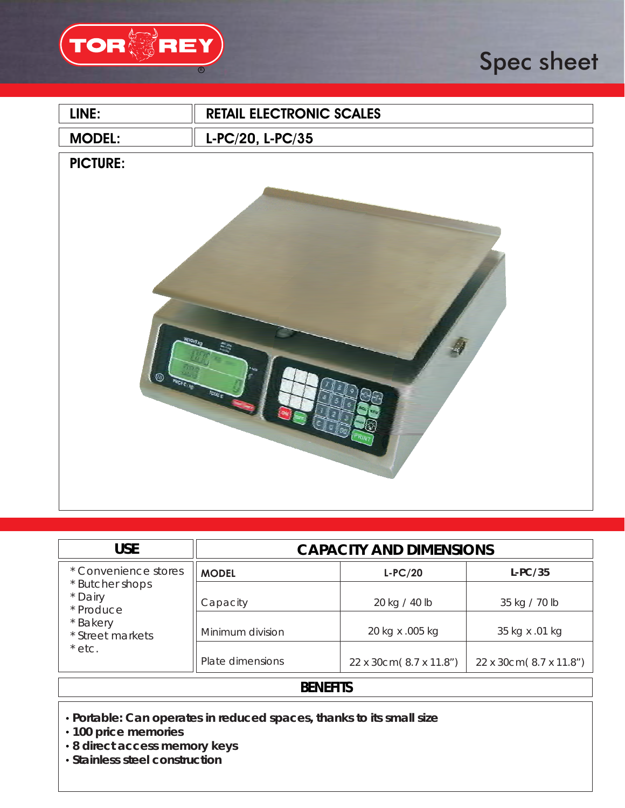

# Spec sheet

| LINE:                                                                 | <b>RETAIL ELECTRONIC SCALES</b> |  |
|-----------------------------------------------------------------------|---------------------------------|--|
| <b>MODEL:</b>                                                         | L-PC/20, L-PC/35                |  |
| <b>PICTURE:</b><br><b>WEIGHT AG</b><br><b>O</b> FOREST<br><b>ROOM</b> |                                 |  |
|                                                                       |                                 |  |

| <b>USE</b>                                                                                                  | <b>CAPACITY AND DIMENSIONS</b> |                                  |                                 |
|-------------------------------------------------------------------------------------------------------------|--------------------------------|----------------------------------|---------------------------------|
| * Convenience stores<br>* Butcher shops<br>* Dairy<br>* Produce<br>* Bakery<br>* Street markets<br>$*$ etc. | <b>MODEL</b>                   | $L-PC/20$                        | L-PC/35                         |
|                                                                                                             | Capacity<br>Minimum division   | 20 kg / 40 lb<br>20 kg x .005 kg | 35 kg / 70 lb<br>35 kg x .01 kg |
|                                                                                                             | Plate dimensions               | 22 x 30cm(8.7 x 11.8")           | 22 x 30cm(8.7 x 11.8")          |

## **BENEFITS**

- **Portable: Can operates in reduced spaces, thanks to its small size**
- **100 price memories**
- **8 direct access memory keys**
- **Stainless steel construction**